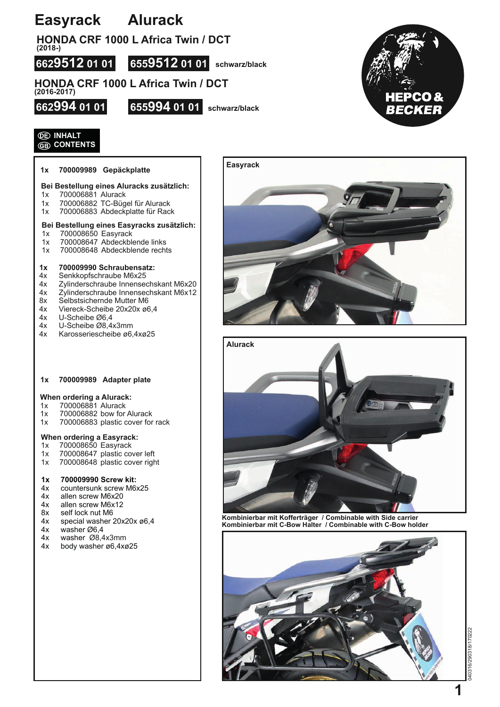# **Easyrack Alurack**

**HONDA CRF 1000 L Africa Twin / DCT** 

**(2018-)**

**6629512 01 01 6559512 01 01 schwarz/black**

### **HONDA CRF 1000 L Africa Twin / DCT (2016-2017)**





## **INHALT CONTENTS**

### **1x 700009989 Gepäckplatte**

## **Bei Bestellung eines Aluracks zusätzlich:**

- 1x 700006881 Alurack
- 1x 700006882 TC-Bügel für Alurack<br>1x 700006883 Abdeckplatte für Rac
- 700006883 Abdeckplatte für Rack

## **Bei Bestellung eines Easyracks zusätzlich:**

- 1x 700008650 Easyrack<br>1x 700008647 Abdeckble
- 
- 1x 700008647 Abdeckblende links<br>1x 700008648 Abdeckblende recht 700008648 Abdeckblende rechts

- **1x 700009990 Schraubensatz:**
- 4x Senkkopfschraube M6x25<br>4x Zylinderschraube Innense 4x Zylinderschraube Innensechskant M6x20
- 4x Zylinderschraube Innensechskant M6x12
- 8x Selbstsichernde Mutter M6<br>4x Viereck-Scheibe 20x20x ø6
- 4x Viereck-Scheibe 20x20x ø6,4
- 4x U-Scheibe Ø6,4<br>4x U-Scheibe Ø8,4
- 4x U-Scheibe Ø8,4x3mm<br>4x Karosseriescheibe ø6,
- 4x Karosseriescheibe ø6,4xø25

#### **1x 700009989 Adapter plate**

## When ordering a Alurack:<br>1x 700006881 Alurack

- 700006881 Alurack
- 1x 700006882 bow for Alurack
- 1x 700006883 plastic cover for rack

## When ordering a Easyrack:<br>1x 700008650 Easyrack

- 700008650 Easyrack
- 1x 700008647 plastic cover left
- 1x 700008648 plastic cover right

## **1x 700009990 Screw kit:**

- countersunk screw M6x25
- 4x allen screw M6x20<br>4x allen screw M6x12
- allen screw M6x12
- 8x self lock nut M6<br>4x special washer:
- 4x special washer  $20x20x \varnothing 6,4$ <br>4x washer  $\varnothing 6.4$
- 4x washer Ø6,4<br>4x washer Ø8,4
- 4x washer Ø8,4x3mm<br>4x body washer ø6,4xg
- body washer ø6,4xø25





**Kombinierbar mit Kofferträger / Combinable with Side carrier Kombinierbar mit C-Bow Halter / Combinable with C-Bow holder**

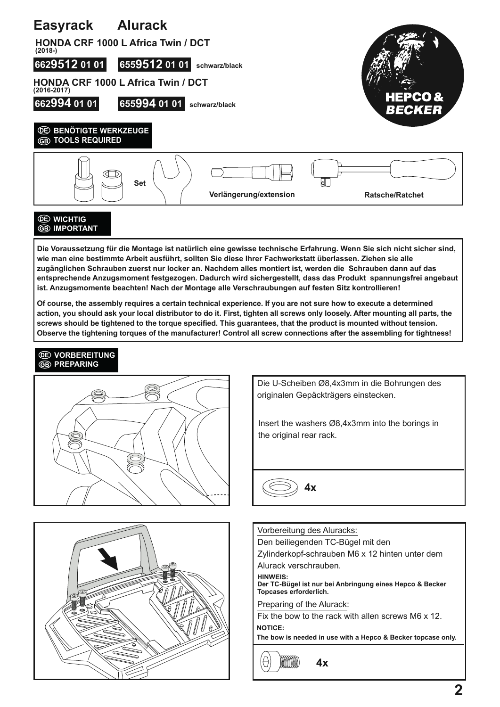

**Die Voraussetzung für die Montage ist natürlich eine gewisse technische Erfahrung. Wenn Sie sich nicht sicher sind, wie man eine bestimmte Arbeit ausführt, sollten Sie diese Ihrer Fachwerkstatt überlassen. Ziehen sie alle zugänglichen Schrauben zuerst nur locker an. Nachdem alles montiert ist, werden die Schrauben dann auf das entsprechende Anzugsmoment festgezogen. Dadurch wird sichergestellt, dass das Produkt spannungsfrei angebaut ist. Anzugsmomente beachten! Nach der Montage alle Verschraubungen auf festen Sitz kontrollieren!**

**Of course, the assembly requires a certain technical experience. If you are not sure how to execute a determined action, you should ask your local distributor to do it. First, tighten all screws only loosely. After mounting all parts, the screws should be tightened to the torque specified. This guarantees, that the product is mounted without tension. Observe the tightening torques of the manufacturer! Control all screw connections after the assembling for tightness!**

## *<u><b>OE* VORBEREITUNG</u> **GB** PREPARING





Die U-Scheiben Ø8,4x3mm in die Bohrungen des originalen Gepäckträgers einstecken.

Insert the washers Ø8,4x3mm into the borings in the original rear rack.



Vorbereitung des Aluracks: Den beiliegenden TC-Bügel mit den Zylinderkopf-schrauben M6 x 12 hinten unter dem Alurack verschrauben. **HINWEIS: Der TC-Bügel ist nur bei Anbringung eines Hepco & Becker Topcases erforderlich.** 

Preparing of the Alurack:

Fix the bow to the rack with allen screws M6 x 12. **NOTICE:**

**The bow is needed in use with a Hepco & Becker topcase only.**

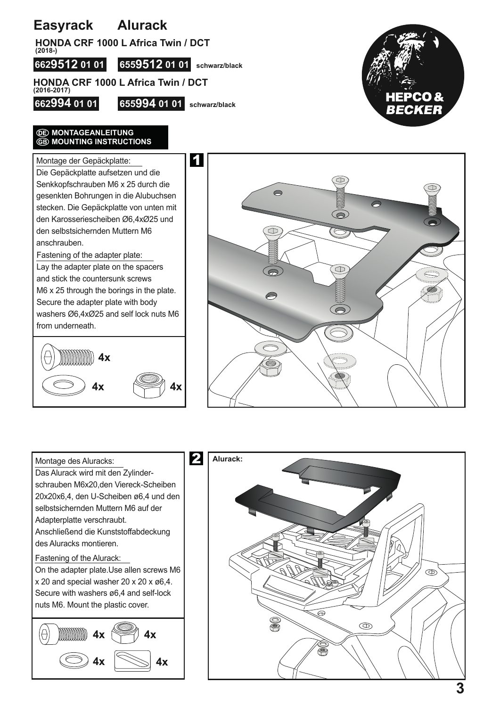# **Easyrack Alurack**

**HONDA CRF 1000 L Africa Twin / DCT (2018-)**

**6629512 01 01 6559512 01 01 schwarz/black**

**HONDA CRF 1000 L Africa Twin / DCT (2016-2017)**

**662994 01 01 655994 01 01 schwarz/black**



## **WONTAGEANLEITUNG ED MOUNTING INSTRUCTIONS**

Montage der Gepäckplatte: Die Gepäckplatte aufsetzen und die Senkkopfschrauben M6 x 25 durch die gesenkten Bohrungen in die Alubuchsen stecken. Die Gepäckplatte von unten mit den Karosseriescheiben Ø6,4xØ25 und den selbstsichernden Muttern M6 anschrauben.

Fastening of the adapter plate:

Lay the adapter plate on the spacers and stick the countersunk screws M6 x 25 through the borings in the plate. Secure the adapter plate with body washers Ø6,4xØ25 and self lock nuts M6 from underneath.